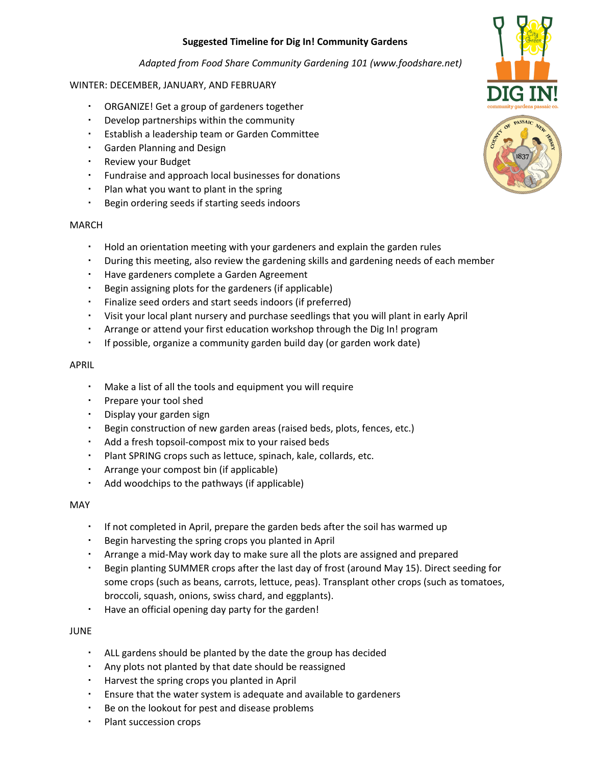# **Suggested Timeline for Dig In! Community Gardens**

*Adapted from Food Share Community Gardening 101 (www.foodshare.net)*

# WINTER: DECEMBER, JANUARY, AND FEBRUARY

- ORGANIZE! Get a group of gardeners together
- Develop partnerships within the community
- Establish a leadership team or Garden Committee
- Garden Planning and Design
- Review your Budget
- Fundraise and approach local businesses for donations
- Plan what you want to plant in the spring
- Begin ordering seeds if starting seeds indoors

## MARCH

- Hold an orientation meeting with your gardeners and explain the garden rules
- During this meeting, also review the gardening skills and gardening needs of each member
- Have gardeners complete a Garden Agreement
- Begin assigning plots for the gardeners (if applicable)
- Finalize seed orders and start seeds indoors (if preferred)
- Visit your local plant nursery and purchase seedlings that you will plant in early April
- Arrange or attend your first education workshop through the Dig In! program
- If possible, organize a community garden build day (or garden work date)

## APRIL

- Make a list of all the tools and equipment you will require
- Prepare your tool shed
- Display your garden sign
- Begin construction of new garden areas (raised beds, plots, fences, etc.)
- Add a fresh topsoil-compost mix to your raised beds
- Plant SPRING crops such as lettuce, spinach, kale, collards, etc.
- Arrange your compost bin (if applicable)
- Add woodchips to the pathways (if applicable)

#### MAY

- If not completed in April, prepare the garden beds after the soil has warmed up
- Begin harvesting the spring crops you planted in April
- Arrange a mid-May work day to make sure all the plots are assigned and prepared
- Begin planting SUMMER crops after the last day of frost (around May 15). Direct seeding for some crops (such as beans, carrots, lettuce, peas). Transplant other crops (such as tomatoes, broccoli, squash, onions, swiss chard, and eggplants).
- Have an official opening day party for the garden!

#### JUNE

- ALL gardens should be planted by the date the group has decided
- Any plots not planted by that date should be reassigned
- Harvest the spring crops you planted in April
- Ensure that the water system is adequate and available to gardeners
- Be on the lookout for pest and disease problems
- Plant succession crops